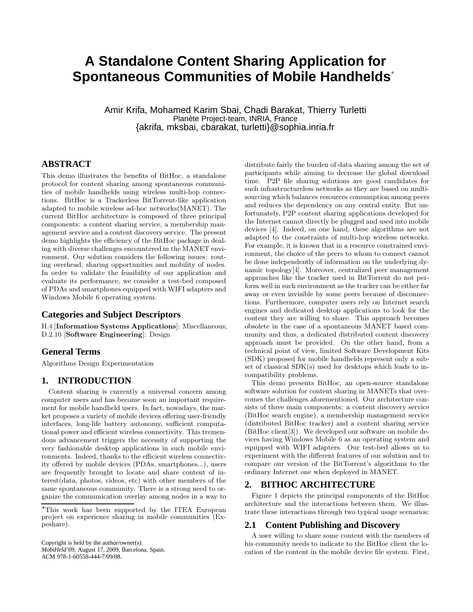# **A Standalone Content Sharing Application for Spontaneous Communities of Mobile Handhelds**<sup>∗</sup>

Amir Krifa, Mohamed Karim Sbai, Chadi Barakat, Thierry Turletti Planète Project-team, INRIA, France {akrifa, mksbai, cbarakat, turletti}@sophia.inria.fr

# **ABSTRACT**

This demo illustrates the benefits of BitHoc, a standalone protocol for content sharing among spontaneous communities of mobile handhelds using wireless multi-hop connections. BitHoc is a Trackerless BitTorrent-like application adapted to mobile wireless ad-hoc networks(MANET). The current BitHoc architecture is composed of three principal components: a content sharing service, a membership management service and a content discovery service. The present demo highlights the efficiency of the BitHoc package in dealing with diverse challenges encountered in the MANET environment. Our solution considers the following issues: routing overhead, sharing opportunities and mobility of nodes. In order to validate the feasibility of our application and evaluate its performance, we consider a test-bed composed of PDAs and smartphones equipped with WIFI adapters and Windows Mobile 6 operating system.

# **Categories and Subject Descriptors**

H.4 [Information Systems Applications]: Miscellaneous; D.2.10 [Software Engineering]: Design

## **General Terms**

Algorithms Design Experimentation

### **1. INTRODUCTION**

Content sharing is currently a universal concern among computer users and has become soon an important requirement for mobile handheld users. In fact, nowadays, the market proposes a variety of mobile devices offering user-friendly interfaces, long-life battery autonomy, sufficient computational power and efficient wireless connectivity. This tremendous advancement triggers the necessity of supporting the very fashionable desktop applications in such mobile environments. Indeed, thanks to the efficient wireless connectivity offered by mobile devices (PDAs, smartphones...), users are frequently brought to locate and share content of interest(data, photos, videos, etc) with other members of the same spontaneous community. There is a strong need to organize the communication overlay among nodes in a way to

Copyright is held by the author/owner(s). *MobiHeld'09,* August 17, 2009, Barcelona, Spain. ACM 978-1-60558-444-7/09/08.

distribute fairly the burden of data sharing among the set of participants while aiming to decrease the global download time. P2P file sharing solutions are good candidates for such infrastructureless networks as they are based on multisourcing which balances resources consumption among peers and reduces the dependency on any central entity. But unfortunately, P2P content sharing applications developed for the Internet cannot directly be plugged and used into mobile devices [4]. Indeed, on one hand, these algorithms are not adapted to the constraints of multi-hop wireless networks. For example, it is known that in a resource constrained environment, the choice of the peers to whom to connect cannot be done independently of information on the underlying dynamic topology[4]. Moreover, centralized peer management approaches like the tracker used in BitTorrent do not perform well in such environment as the tracker can be either far away or even invisible by some peers because of disconnections. Furthermore, computer users rely on Internet search engines and dedicated desktop applications to look for the content they are willing to share. This approach becomes obsolete in the case of a spontaneous MANET based community and thus, a dedicated distributed content discovery approach must be provided. On the other hand, from a technical point of view, limited Software Development Kits (SDK) proposed for mobile handhelds represent only a subset of classical SDK(s) used for desktops which leads to incompatibility problems.

This demo presents BitHoc, an open-source standalone software solution for content sharing in MANETs that overcomes the challenges aforementioned. Our architecture consists of three main components: a content discovery service (BitHoc search engine), a membership management service (distributed BitHoc tracker) and a content sharing service (BitHoc client[3]). We developed our software on mobile devices having Windows Mobile 6 as an operating system and equipped with WIFI adapters. Our test-bed allows us to experiment with the different features of our solution and to compare our version of the BitTorrent's algorithms to the ordinary Internet one when deployed in MANET.

# **2. BITHOC ARCHITECTURE**

Figure 1 depicts the principal components of the BitHoc architecture and the interactions between them. We illustrate these interactions through two typical usage scenarios:

#### **2.1 Content Publishing and Discovery**

A user willing to share some content with the members of his community needs to indicate to the BitHoc client the location of the content in the mobile device file system. First,

<sup>∗</sup>This work has been supported by the ITEA European project on experience sharing in mobile communities (Expeshare).